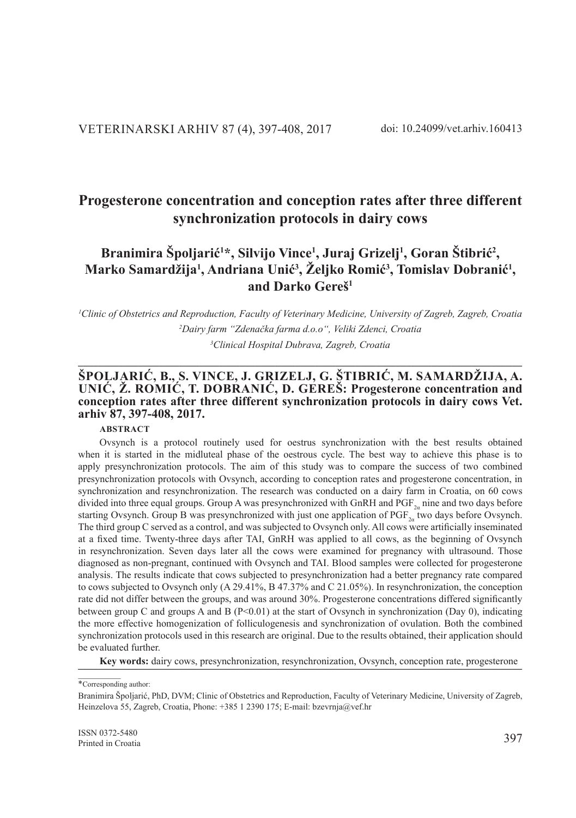# **Progesterone concentration and conception rates after three different synchronization protocols in dairy cows**

# **Branimira Špoljarić<sup>1</sup> \*, Silvijo Vince1 , Juraj Grizelj1 , Goran Štibrić<sup>2</sup> ,**  Marko Samardžija<sup>1</sup>, Andriana Unić<sup>3</sup>, Željko Romić<sup>3</sup>, Tomislav Dobranić<sup>1</sup>, **and Darko Gereš1**

*1 Clinic of Obstetrics and Reproduction, Faculty of Veterinary Medicine, University of Zagreb, Zagreb, Croatia 2 Dairy farm "Zdenačka farma d.o.o", Veliki Zdenci, Croatia 3 Clinical Hospital Dubrava, Zagreb, Croatia*

**\_\_\_\_\_\_\_\_\_\_\_\_\_\_\_\_\_\_\_\_\_\_\_\_\_\_\_\_\_\_\_\_\_\_\_\_\_\_\_\_\_\_\_\_\_\_\_\_\_\_\_\_\_\_\_\_\_\_\_\_\_\_\_\_\_\_\_\_\_\_\_\_\_\_\_\_\_\_\_\_\_\_\_\_\_\_\_\_**

### **ŠPOLJARIĆ, B., S. VINCE, J. GRIZELJ, G. ŠTIBRIĆ, M. SAMARDŽIJA, A. UNIĆ, Ž. ROMIĆ, T. DOBRANIĆ, D. GEREŠ: Progesterone concentration and conception rates after three different synchronization protocols in dairy cows Vet. arhiv 87, 397-408, 2017.**

## **ABSTRACT**

Ovsynch is a protocol routinely used for oestrus synchronization with the best results obtained when it is started in the midluteal phase of the oestrous cycle. The best way to achieve this phase is to apply presynchronization protocols. The aim of this study was to compare the success of two combined presynchronization protocols with Ovsynch, according to conception rates and progesterone concentration, in synchronization and resynchronization. The research was conducted on a dairy farm in Croatia, on 60 cows divided into three equal groups. Group A was presynchronized with GnRH and  $PGF_{2n}$  nine and two days before starting Ovsynch. Group B was presynchronized with just one application of  $PGF_{2a}$  two days before Ovsynch. The third group C served as a control, and was subjected to Ovsynch only. All cows were artificially inseminated at a fixed time. Twenty-three days after TAI, GnRH was applied to all cows, as the beginning of Ovsynch in resynchronization. Seven days later all the cows were examined for pregnancy with ultrasound. Those diagnosed as non-pregnant, continued with Ovsynch and TAI. Blood samples were collected for progesterone analysis. The results indicate that cows subjected to presynchronization had a better pregnancy rate compared to cows subjected to Ovsynch only (A 29.41%, B 47.37% and C 21.05%). In resynchronization, the conception rate did not differ between the groups, and was around 30%. Progesterone concentrations differed significantly between group C and groups A and B ( $P<0.01$ ) at the start of Ovsynch in synchronization (Day 0), indicating the more effective homogenization of folliculogenesis and synchronization of ovulation. Both the combined synchronization protocols used in this research are original. Due to the results obtained, their application should be evaluated further.

Key words: dairy cows, presynchronization, resynchronization, Ovsynch, conception rate, progesterone

<sup>\*</sup>Corresponding author:

Branimira Špoljarić, PhD, DVM; Clinic of Obstetrics and Reproduction, Faculty of Veterinary Medicine, University of Zagreb, Heinzelova 55, Zagreb, Croatia, Phone: +385 1 2390 175; E-mail: bzevrnja@vef.hr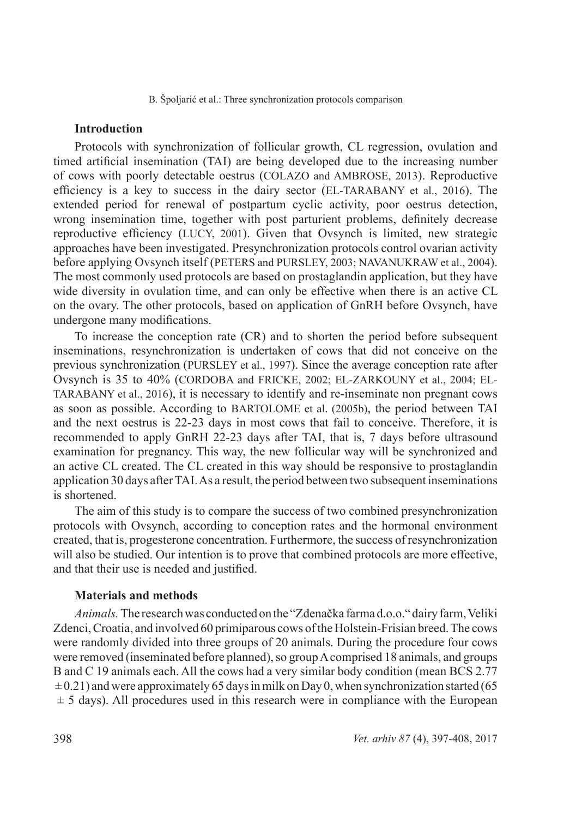# **Introduction**

Protocols with synchronization of follicular growth, CL regression, ovulation and timed artificial insemination (TAI) are being developed due to the increasing number of cows with poorly detectable oestrus (COLAZO and AMBROSE, 2013). Reproductive efficiency is a key to success in the dairy sector (EL-TARABANY et al., 2016). The extended period for renewal of postpartum cyclic activity, poor oestrus detection, wrong insemination time, together with post parturient problems, definitely decrease reproductive efficiency (LUCY, 2001). Given that Ovsynch is limited, new strategic approaches have been investigated. Presynchronization protocols control ovarian activity before applying Ovsynch itself (PETERS and PURSLEY, 2003; NAVANUKRAW et al., 2004). The most commonly used protocols are based on prostaglandin application, but they have wide diversity in ovulation time, and can only be effective when there is an active CL on the ovary. The other protocols, based on application of GnRH before Ovsynch, have undergone many modifications.

To increase the conception rate (CR) and to shorten the period before subsequent inseminations, resynchronization is undertaken of cows that did not conceive on the previous synchronization (PURSLEY et al., 1997). Since the average conception rate after Ovsynch is 35 to 40% (CORDOBA and FRICKE, 2002; EL-ZARKOUNY et al., 2004; EL-TARABANY et al., 2016), it is necessary to identify and re-inseminate non pregnant cows as soon as possible. According to BARTOLOME et al. (2005b), the period between TAI and the next oestrus is 22-23 days in most cows that fail to conceive. Therefore, it is recommended to apply GnRH 22-23 days after TAI, that is, 7 days before ultrasound examination for pregnancy. This way, the new follicular way will be synchronized and an active CL created. The CL created in this way should be responsive to prostaglandin application 30 days after TAI. As a result, the period between two subsequent inseminations is shortened.

The aim of this study is to compare the success of two combined presynchronization protocols with Ovsynch, according to conception rates and the hormonal environment created, that is, progesterone concentration. Furthermore, the success of resynchronization will also be studied. Our intention is to prove that combined protocols are more effective, and that their use is needed and justified.

### **Materials and methods**

*Animals.* The research was conducted on the "Zdenačka farma d.o.o." dairy farm, Veliki Zdenci, Croatia, and involved 60 primiparous cows of the Holstein-Frisian breed. The cows were randomly divided into three groups of 20 animals. During the procedure four cows were removed (inseminated before planned), so group A comprised 18 animals, and groups B and C 19 animals each. All the cows had a very similar body condition (mean BCS 2.77  $\pm$  0.21) and were approximately 65 days in milk on Day 0, when synchronization started (65  $\pm$  5 days). All procedures used in this research were in compliance with the European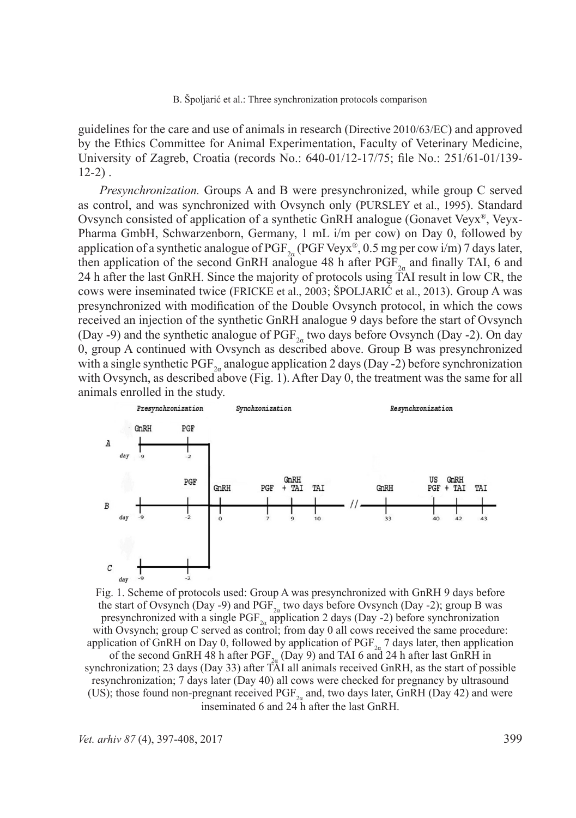guidelines for the care and use of animals in research (Directive 2010/63/EC) and approved by the Ethics Committee for Animal Experimentation, Faculty of Veterinary Medicine, University of Zagreb, Croatia (records No.: 640-01/12-17/75; file No.: 251/61-01/139-  $12-2)$ .

*Presynchronization.* Groups A and B were presynchronized, while group C served as control, and was synchronized with Ovsynch only (PURSLEY et al., 1995). Standard Ovsynch consisted of application of a synthetic GnRH analogue (Gonavet Veyx<sup>®</sup>, Veyx-Pharma GmbH, Schwarzenborn, Germany, 1 mL i/m per cow) on Day 0, followed by application of a synthetic analogue of PGF<sub>2a</sub> (PGF Veyx®, 0.5 mg per cow i/m) 7 days later, then application of the second GnRH analogue 48 h after  $PGF_{2a}$  and finally TAI, 6 and 24 h after the last GnRH. Since the majority of protocols using TAI result in low CR, the cows were inseminated twice (FRICKE et al., 2003; ŠPOLJARIĆ et al., 2013). Group A was presynchronized with modification of the Double Ovsynch protocol, in which the cows received an injection of the synthetic GnRH analogue 9 days before the start of Ovsynch (Day -9) and the synthetic analogue of  $PGF_{2a}$  two days before Ovsynch (Day -2). On day 0, group A continued with Ovsynch as described above. Group B was presynchronized with a single synthetic PGF<sub>2a</sub> analogue application 2 days (Day -2) before synchronization with Ovsynch, as described above (Fig. 1). After Day 0, the treatment was the same for all animals enrolled in the study.



Fig. 1. Scheme of protocols used: Group A was presynchronized with GnRH 9 days before the start of Ovsynch (Day -9) and  $PGF_{2a}$  two days before Ovsynch (Day -2); group B was presynchronized with a single PGF<sub>2</sub><sup> $\alpha$ </sup> application 2 days (Day -2) before synchronization with Ovsynch; group C served as control; from day 0 all cows received the same procedure: application of GnRH on Day 0, followed by application of  $PGF_{2a}$  7 days later, then application of the second GnRH 48 h after  $PGF_{2\alpha}$  (Day 9) and TAI 6 and 24 h after last GnRH in synchronization; 23 days (Day 33) after TAI all animals received GnRH, as the start of possible resynchronization; 7 days later (Day 40) all cows were checked for pregnancy by ultrasound (US); those found non-pregnant received  $PGF_{2a}$  and, two days later, GnRH (Day 42) and were inseminated 6 and 24 h after the last GnRH.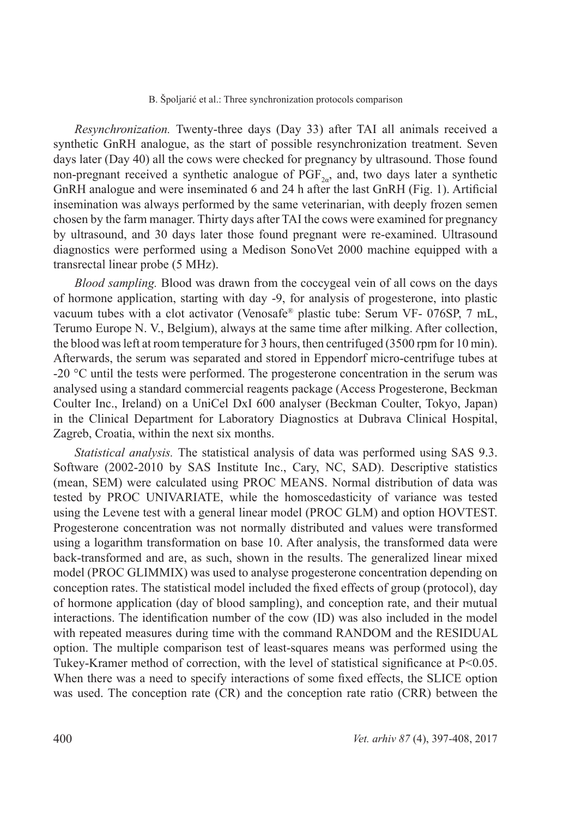*Resynchronization.* Twenty-three days (Day 33) after TAI all animals received a synthetic GnRH analogue, as the start of possible resynchronization treatment. Seven days later (Day 40) all the cows were checked for pregnancy by ultrasound. Those found non-pregnant received a synthetic analogue of  $PGF_{2a}$  and, two days later a synthetic GnRH analogue and were inseminated 6 and 24 h after the last GnRH (Fig. 1). Artificial insemination was always performed by the same veterinarian, with deeply frozen semen chosen by the farm manager. Thirty days after TAI the cows were examined for pregnancy by ultrasound, and 30 days later those found pregnant were re-examined. Ultrasound diagnostics were performed using a Medison SonoVet 2000 machine equipped with a transrectal linear probe (5 MHz).

*Blood sampling.* Blood was drawn from the coccygeal vein of all cows on the days of hormone application, starting with day -9, for analysis of progesterone, into plastic vacuum tubes with a clot activator (Venosafe® plastic tube: Serum VF- 076SP, 7 mL, Terumo Europe N. V., Belgium), always at the same time after milking. After collection, the blood was left at room temperature for 3 hours, then centrifuged (3500 rpm for 10 min). Afterwards, the serum was separated and stored in Eppendorf micro-centrifuge tubes at -20 °C until the tests were performed. The progesterone concentration in the serum was analysed using a standard commercial reagents package (Access Progesterone, Beckman Coulter Inc., Ireland) on a UniCel DxI 600 analyser (Beckman Coulter, Tokyo, Japan) in the Clinical Department for Laboratory Diagnostics at Dubrava Clinical Hospital, Zagreb, Croatia, within the next six months.

*Statistical analysis.* The statistical analysis of data was performed using SAS 9.3. Software (2002-2010 by SAS Institute Inc., Cary, NC, SAD). Descriptive statistics (mean, SEM) were calculated using PROC MEANS. Normal distribution of data was tested by PROC UNIVARIATE, while the homoscedasticity of variance was tested using the Levene test with a general linear model (PROC GLM) and option HOVTEST. Progesterone concentration was not normally distributed and values were transformed using a logarithm transformation on base 10. After analysis, the transformed data were back-transformed and are, as such, shown in the results. The generalized linear mixed model (PROC GLIMMIX) was used to analyse progesterone concentration depending on conception rates. The statistical model included the fixed effects of group (protocol), day of hormone application (day of blood sampling), and conception rate, and their mutual interactions. The identification number of the cow (ID) was also included in the model with repeated measures during time with the command RANDOM and the RESIDUAL option. The multiple comparison test of least-squares means was performed using the Tukey-Kramer method of correction, with the level of statistical significance at P<0.05. When there was a need to specify interactions of some fixed effects, the SLICE option was used. The conception rate (CR) and the conception rate ratio (CRR) between the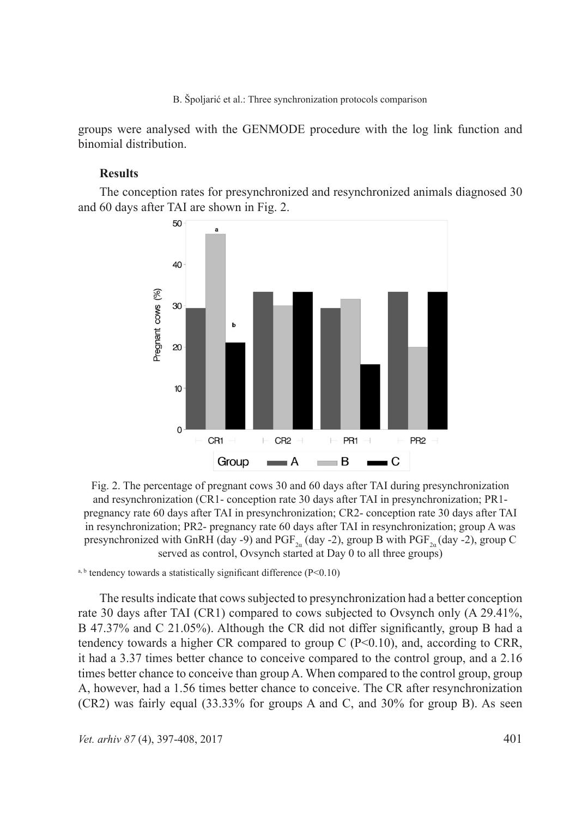groups were analysed with the GENMODE procedure with the log link function and binomial distribution.

### **Results**

The conception rates for presynchronized and resynchronized animals diagnosed 30 and 60 days after TAI are shown in Fig. 2.



Fig. 2. The percentage of pregnant cows 30 and 60 days after TAI during presynchronization and resynchronization (CR1- conception rate 30 days after TAI in presynchronization; PR1 pregnancy rate 60 days after TAI in presynchronization; CR2- conception rate 30 days after TAI in resynchronization; PR2- pregnancy rate 60 days after TAI in resynchronization; group A was presynchronized with GnRH (day -9) and PGF<sub>2a</sub> (day -2), group B with PGF<sub>2a</sub> (day -2), group C served as control, Ovsynch started at Day 0 to all three groups)

 $a, b$  tendency towards a statistically significant difference (P<0.10)

The results indicate that cows subjected to presynchronization had a better conception rate 30 days after TAI (CR1) compared to cows subjected to Ovsynch only (A 29.41%, B 47.37% and C 21.05%). Although the CR did not differ significantly, group B had a tendency towards a higher CR compared to group C  $(P< 0.10)$ , and, according to CRR, it had a 3.37 times better chance to conceive compared to the control group, and a 2.16 times better chance to conceive than group A. When compared to the control group, group A, however, had a 1.56 times better chance to conceive. The CR after resynchronization (CR2) was fairly equal (33.33% for groups A and C, and 30% for group B). As seen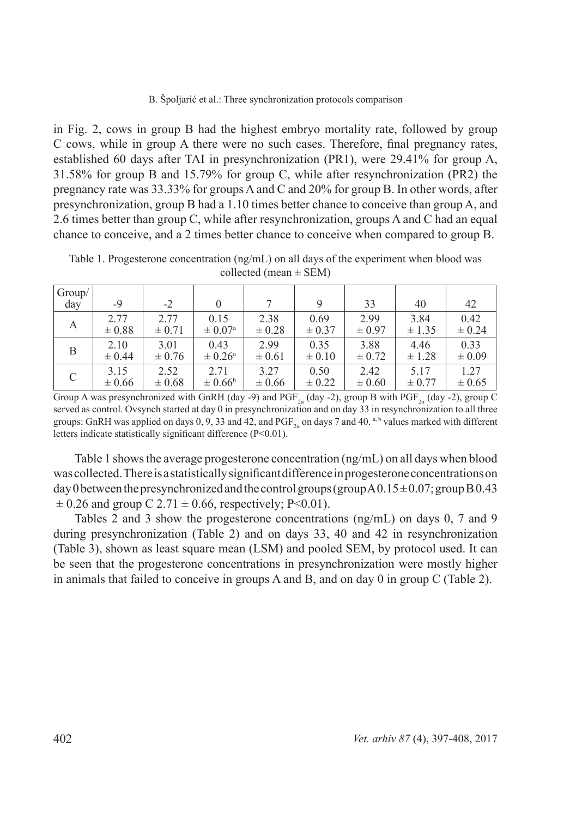in Fig. 2, cows in group B had the highest embryo mortality rate, followed by group C cows, while in group A there were no such cases. Therefore, final pregnancy rates, established 60 days after TAI in presynchronization (PR1), were 29.41% for group A, 31.58% for group B and 15.79% for group C, while after resynchronization (PR2) the pregnancy rate was 33.33% for groups A and C and 20% for group B. In other words, after presynchronization, group B had a 1.10 times better chance to conceive than group A, and 2.6 times better than group C, while after resynchronization, groups A and C had an equal chance to conceive, and a 2 times better chance to conceive when compared to group B.

| Group/<br>day | -9         | $-2$       | $\theta$           |            |            | 33         | 40         | 42         |
|---------------|------------|------------|--------------------|------------|------------|------------|------------|------------|
|               |            |            |                    |            |            |            |            |            |
| А             | 2.77       | 2.77       | 0.15               | 2.38       | 0.69       | 2.99       | 3.84       | 0.42       |
|               | $\pm 0.88$ | $\pm 0.71$ | $\pm 0.07^{\circ}$ | $\pm 0.28$ | $\pm 0.37$ | $\pm 0.97$ | ± 1.35     | $\pm 0.24$ |
| B             | 2.10       | 3.01       | 0.43               | 2.99       | 0.35       | 3.88       | 4.46       | 0.33       |
|               | $\pm 0.44$ | $\pm 0.76$ | $\pm 0.26^{\circ}$ | $\pm 0.61$ | $\pm 0.10$ | $\pm 0.72$ | $\pm$ 1.28 | $\pm 0.09$ |
| C             | 3.15       | 2.52       | 2.71               | 3.27       | 0.50       | 2.42       | 5.17       | 1.27       |
|               | $\pm 0.66$ | $\pm 0.68$ | $\pm 0.66^{\circ}$ | $\pm 0.66$ | $\pm$ 0.22 | $\pm 0.60$ | $\pm 0.77$ | $\pm 0.65$ |

Table 1. Progesterone concentration (ng/mL) on all days of the experiment when blood was collected (mean  $\pm$  SEM)

Group A was presynchronized with GnRH (day -9) and PGF<sub>2a</sub> (day -2), group B with PGF<sub>2a</sub> (day -2), group C served as control. Ovsynch started at day 0 in presynchronization and on day 33 in resynchronization to all three groups: GnRH was applied on days  $0, 9, 33$  and  $42$ , and  $PGF_2$  on days 7 and 40. a, b values marked with different letters indicate statistically significant difference (P<0.01).

Table 1 shows the average progesterone concentration (ng/mL) on all days when blood was collected. There is a statistically significant difference in progesterone concentrations on day 0 between the presynchronized and the control groups (group  $A0.15 \pm 0.07$ ; group B 0.43  $\pm$  0.26 and group C 2.71  $\pm$  0.66, respectively; P<0.01).

Tables 2 and 3 show the progesterone concentrations (ng/mL) on days 0, 7 and 9 during presynchronization (Table 2) and on days 33, 40 and 42 in resynchronization (Table 3), shown as least square mean (LSM) and pooled SEM, by protocol used. It can be seen that the progesterone concentrations in presynchronization were mostly higher in animals that failed to conceive in groups A and B, and on day 0 in group C (Table 2).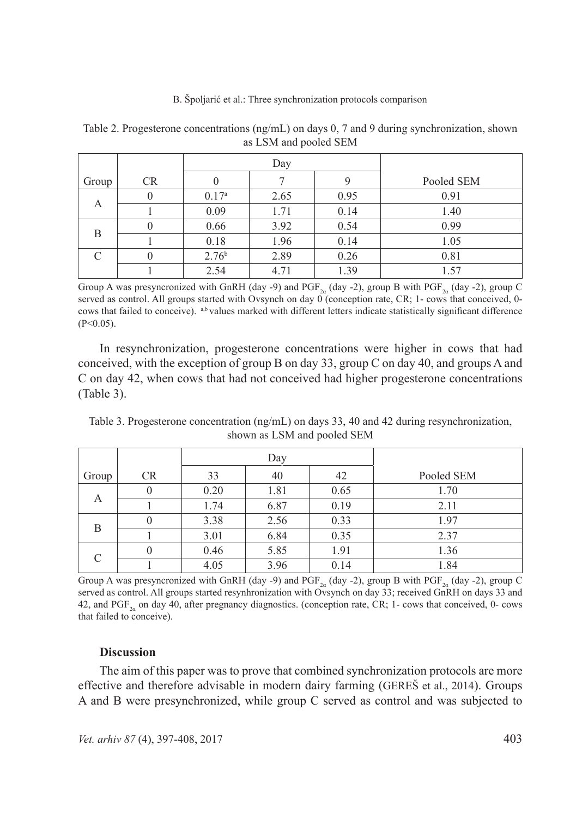|           |           |                   | Day  |      |            |  |  |
|-----------|-----------|-------------------|------|------|------------|--|--|
| Group     | <b>CR</b> |                   |      |      | Pooled SEM |  |  |
| A         | 0         | 0.17 <sup>a</sup> | 2.65 | 0.95 | 0.91       |  |  |
|           |           | 0.09              | 1.71 | 0.14 | 1.40       |  |  |
| B         |           | 0.66              | 3.92 | 0.54 | 0.99       |  |  |
|           |           | 0.18              | 1.96 | 0.14 | 1.05       |  |  |
| $\subset$ | 0         | 2.76 <sup>b</sup> | 2.89 | 0.26 | 0.81       |  |  |
|           |           | 2.54              | 4.71 | 1.39 | 1.57       |  |  |

Table 2. Progesterone concentrations (ng/mL) on days 0, 7 and 9 during synchronization, shown as LSM and pooled SEM

Group A was presyncronized with GnRH (day -9) and PGF<sub>2a</sub> (day -2), group B with PGF<sub>2a</sub> (day -2), group C served as control. All groups started with Ovsynch on day  $0^{\degree}$  (conception rate, CR; 1- cows that conceived, 0cows that failed to conceive). a,b values marked with different letters indicate statistically significant difference  $(P<0.05)$ .

In resynchronization, progesterone concentrations were higher in cows that had conceived, with the exception of group B on day 33, group C on day 40, and groups A and C on day 42, when cows that had not conceived had higher progesterone concentrations (Table 3).

Table 3. Progesterone concentration (ng/mL) on days 33, 40 and 42 during resynchronization, shown as LSM and pooled SEM

|           |           |      | Day  |      |            |
|-----------|-----------|------|------|------|------------|
| Group     | <b>CR</b> | 33   | 40   | 42   | Pooled SEM |
| А         |           | 0.20 | 1.81 | 0.65 | 1.70       |
|           |           | 1.74 | 6.87 | 0.19 | 2.11       |
| B         |           | 3.38 | 2.56 | 0.33 | 1.97       |
|           |           | 3.01 | 6.84 | 0.35 | 2.37       |
| $\subset$ |           | 0.46 | 5.85 | 1.91 | 1.36       |
|           |           | 4.05 | 3.96 | 0.14 | 1.84       |

Group A was presyncronized with GnRH (day -9) and PGF<sub>2a</sub> (day -2), group B with PGF<sub>2a</sub> (day -2), group C served as control. All groups started resynhronization with Ovsynch on day 33; received GnRH on days 33 and 42, and  $PGF_{2a}$  on day 40, after pregnancy diagnostics. (conception rate, CR; 1- cows that conceived, 0- cows that failed to conceive).

# **Discussion**

The aim of this paper was to prove that combined synchronization protocols are more effective and therefore advisable in modern dairy farming (GEREŠ et al., 2014). Groups A and B were presynchronized, while group C served as control and was subjected to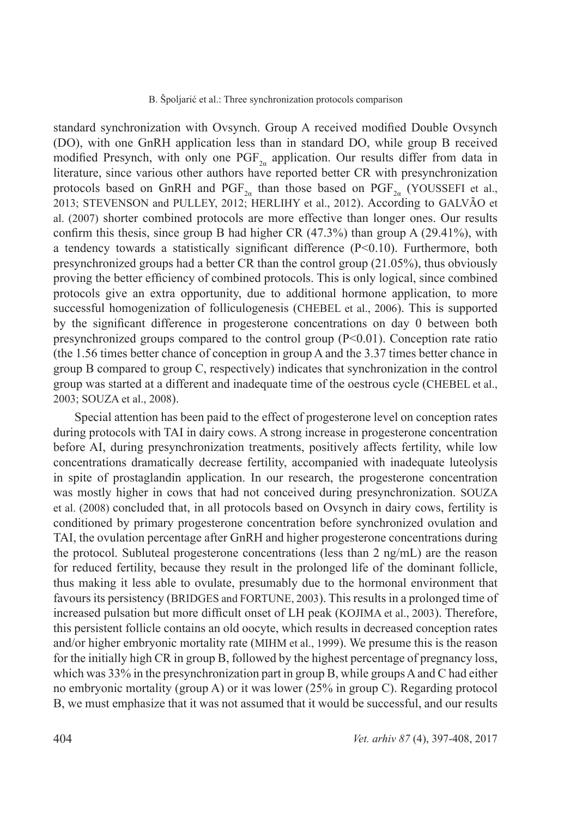standard synchronization with Ovsynch. Group A received modified Double Ovsynch (DO), with one GnRH application less than in standard DO, while group B received modified Presynch, with only one  $\text{PGF}_{2a}$  application. Our results differ from data in literature, since various other authors have reported better CR with presynchronization protocols based on GnRH and PGF<sub>2a</sub> than those based on PGF<sub>2a</sub> (YOUSSEFI et al., 2013; STEVENSON and PULLEY, 2012; HERLIHY et al., 2012). According to GALVÃO et al. (2007) shorter combined protocols are more effective than longer ones. Our results confirm this thesis, since group B had higher CR  $(47.3\%)$  than group A  $(29.41\%)$ , with a tendency towards a statistically significant difference  $(P<0.10)$ . Furthermore, both presynchronized groups had a better CR than the control group (21.05%), thus obviously proving the better efficiency of combined protocols. This is only logical, since combined protocols give an extra opportunity, due to additional hormone application, to more successful homogenization of folliculogenesis (CHEBEL et al., 2006). This is supported by the significant difference in progesterone concentrations on day 0 between both presynchronized groups compared to the control group  $(P<0.01)$ . Conception rate ratio (the 1.56 times better chance of conception in group A and the 3.37 times better chance in group B compared to group C, respectively) indicates that synchronization in the control group was started at a different and inadequate time of the oestrous cycle (CHEBEL et al., 2003; SOUZA et al., 2008).

Special attention has been paid to the effect of progesterone level on conception rates during protocols with TAI in dairy cows. A strong increase in progesterone concentration before AI, during presynchronization treatments, positively affects fertility, while low concentrations dramatically decrease fertility, accompanied with inadequate luteolysis in spite of prostaglandin application. In our research, the progesterone concentration was mostly higher in cows that had not conceived during presynchronization. SOUZA et al. (2008) concluded that, in all protocols based on Ovsynch in dairy cows, fertility is conditioned by primary progesterone concentration before synchronized ovulation and TAI, the ovulation percentage after GnRH and higher progesterone concentrations during the protocol. Subluteal progesterone concentrations (less than 2 ng/mL) are the reason for reduced fertility, because they result in the prolonged life of the dominant follicle, thus making it less able to ovulate, presumably due to the hormonal environment that favours its persistency (BRIDGES and FORTUNE, 2003). This results in a prolonged time of increased pulsation but more difficult onset of LH peak (KOJIMA et al., 2003). Therefore, this persistent follicle contains an old oocyte, which results in decreased conception rates and/or higher embryonic mortality rate (MIHM et al., 1999). We presume this is the reason for the initially high CR in group B, followed by the highest percentage of pregnancy loss, which was 33% in the presynchronization part in group B, while groups A and C had either no embryonic mortality (group A) or it was lower (25% in group C). Regarding protocol B, we must emphasize that it was not assumed that it would be successful, and our results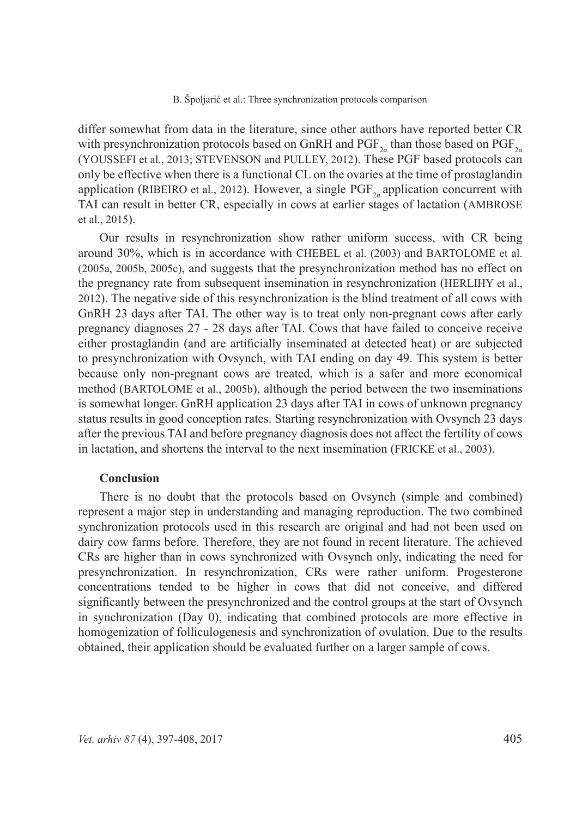differ somewhat from data in the literature, since other authors have reported better CR with presynchronization protocols based on GnRH and  $PGF_{2a}$  than those based on  $PGF_{2a}$ (YOUSSEFI et al., 2013; STEVENSON and PULLEY, 2012). These PGF based protocols can only be effective when there is a functional CL on the ovaries at the time of prostaglandin application (RIBEIRO et al., 2012). However, a single  $PGF_{2a}$  application concurrent with TAI can result in better CR, especially in cows at earlier stages of lactation (AMBROSE et al., 2015).

Our results in resynchronization show rather uniform success, with CR being around 30%, which is in accordance with CHEBEL et al. (2003) and BARTOLOME et al. (2005a, 2005b, 2005c), and suggests that the presynchronization method has no effect on the pregnancy rate from subsequent insemination in resynchronization (HERLIHY et al., 2012). The negative side of this resynchronization is the blind treatment of all cows with GnRH 23 days after TAI. The other way is to treat only non-pregnant cows after early pregnancy diagnoses 27 - 28 days after TAI. Cows that have failed to conceive receive either prostaglandin (and are artificially inseminated at detected heat) or are subjected to presynchronization with Ovsynch, with TAI ending on day 49. This system is better because only non-pregnant cows are treated, which is a safer and more economical method (BARTOLOME et al., 2005b), although the period between the two inseminations is somewhat longer. GnRH application 23 days after TAI in cows of unknown pregnancy status results in good conception rates. Starting resynchronization with Ovsynch 23 days after the previous TAI and before pregnancy diagnosis does not affect the fertility of cows in lactation, and shortens the interval to the next insemination (FRICKE et al., 2003).

# **Conclusion**

There is no doubt that the protocols based on Ovsynch (simple and combined) represent a major step in understanding and managing reproduction. The two combined synchronization protocols used in this research are original and had not been used on dairy cow farms before. Therefore, they are not found in recent literature. The achieved CRs are higher than in cows synchronized with Ovsynch only, indicating the need for presynchronization. In resynchronization, CRs were rather uniform. Progesterone concentrations tended to be higher in cows that did not conceive, and differed significantly between the presynchronized and the control groups at the start of Ovsynch in synchronization (Day 0), indicating that combined protocols are more effective in homogenization of folliculogenesis and synchronization of ovulation. Due to the results obtained, their application should be evaluated further on a larger sample of cows.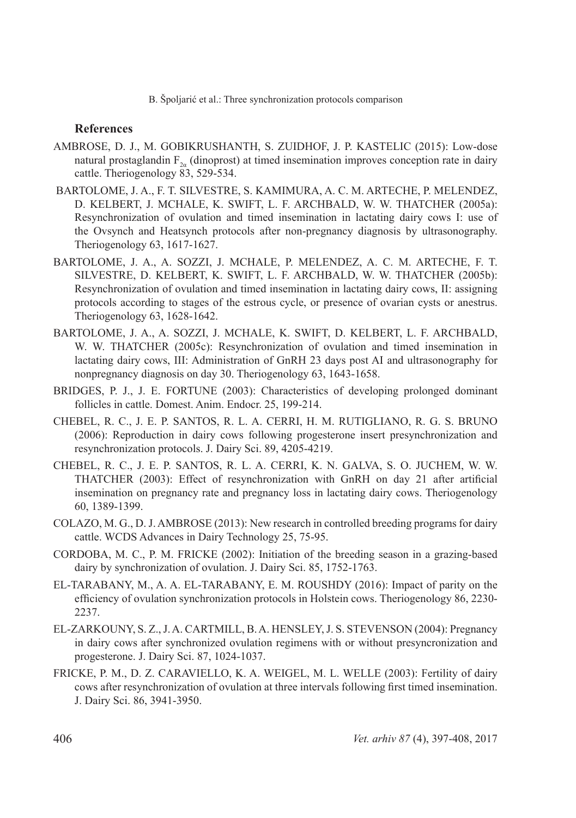# **References**

- AMBROSE, D. J., M. GOBIKRUSHANTH, S. ZUIDHOF, J. P. KASTELIC (2015): Low-dose natural prostaglandin  $F_{2a}$  (dinoprost) at timed insemination improves conception rate in dairy cattle. Theriogenology 83, 529-534.
- BARTOLOME, J. A., F. T. SILVESTRE, S. KAMIMURA, A. C. M. ARTECHE, P. MELENDEZ, D. KELBERT, J. MCHALE, K. SWIFT, L. F. ARCHBALD, W. W. THATCHER (2005a): Resynchronization of ovulation and timed insemination in lactating dairy cows I: use of the Ovsynch and Heatsynch protocols after non-pregnancy diagnosis by ultrasonography. Theriogenology 63, 1617-1627.
- BARTOLOME, J. A., A. SOZZI, J. MCHALE, P. MELENDEZ, A. C. M. ARTECHE, F. T. SILVESTRE, D. KELBERT, K. SWIFT, L. F. ARCHBALD, W. W. THATCHER (2005b): Resynchronization of ovulation and timed insemination in lactating dairy cows, II: assigning protocols according to stages of the estrous cycle, or presence of ovarian cysts or anestrus. Theriogenology 63, 1628-1642.
- BARTOLOME, J. A., A. SOZZI, J. MCHALE, K. SWIFT, D. KELBERT, L. F. ARCHBALD, W. W. THATCHER (2005c): Resynchronization of ovulation and timed insemination in lactating dairy cows, III: Administration of GnRH 23 days post AI and ultrasonography for nonpregnancy diagnosis on day 30. Theriogenology 63, 1643-1658.
- BRIDGES, P. J., J. E. FORTUNE (2003): Characteristics of developing prolonged dominant follicles in cattle. Domest. Anim. Endocr. 25, 199-214.
- CHEBEL, R. C., J. E. P. SANTOS, R. L. A. CERRI, H. M. RUTIGLIANO, R. G. S. BRUNO (2006): Reproduction in dairy cows following progesterone insert presynchronization and resynchronization protocols. J. Dairy Sci. 89, 4205-4219.
- CHEBEL, R. C., J. E. P. SANTOS, R. L. A. CERRI, K. N. GALVA, S. O. JUCHEM, W. W. THATCHER (2003): Effect of resynchronization with GnRH on day 21 after artificial insemination on pregnancy rate and pregnancy loss in lactating dairy cows. Theriogenology 60, 1389-1399.
- COLAZO, M. G., D. J. AMBROSE (2013): New research in controlled breeding programs for dairy cattle. WCDS Advances in Dairy Technology 25, 75-95.
- CORDOBA, M. C., P. M. FRICKE (2002): Initiation of the breeding season in a grazing-based dairy by synchronization of ovulation. J. Dairy Sci. 85, 1752-1763.
- EL-TARABANY, M., A. A. EL-TARABANY, E. M. ROUSHDY (2016): Impact of parity on the efficiency of ovulation synchronization protocols in Holstein cows. Theriogenology 86, 2230- 2237.
- EL-ZARKOUNY, S. Z., J. A. CARTMILL, B. A. HENSLEY, J. S. STEVENSON (2004): Pregnancy in dairy cows after synchronized ovulation regimens with or without presyncronization and progesterone. J. Dairy Sci. 87, 1024-1037.
- FRICKE, P. M., D. Z. CARAVIELLO, K. A. WEIGEL, M. L. WELLE (2003): Fertility of dairy cows after resynchronization of ovulation at three intervals following first timed insemination. J. Dairy Sci. 86, 3941-3950.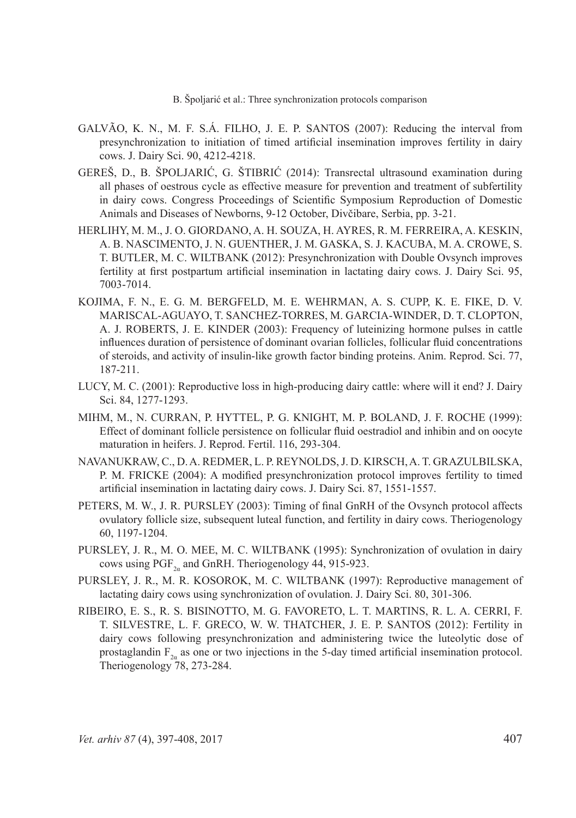- GALVÃO, K. N., M. F. S.Á. FILHO, J. E. P. SANTOS (2007): Reducing the interval from presynchronization to initiation of timed artificial insemination improves fertility in dairy cows. J. Dairy Sci. 90, 4212-4218.
- GEREŠ, D., B. ŠPOLJARIĆ, G. ŠTIBRIĆ (2014): Transrectal ultrasound examination during all phases of oestrous cycle as effective measure for prevention and treatment of subfertility in dairy cows. Congress Proceedings of Scientific Symposium Reproduction of Domestic Animals and Diseases of Newborns, 9-12 October, Divčibare, Serbia, pp. 3-21.
- HERLIHY, M. M., J. O. GIORDANO, A. H. SOUZA, H. AYRES, R. M. FERREIRA, A. KESKIN, A. B. NASCIMENTO, J. N. GUENTHER, J. M. GASKA, S. J. KACUBA, M. A. CROWE, S. T. BUTLER, M. C. WILTBANK (2012): Presynchronization with Double Ovsynch improves fertility at first postpartum artificial insemination in lactating dairy cows. J. Dairy Sci. 95, 7003-7014.
- KOJIMA, F. N., E. G. M. BERGFELD, M. E. WEHRMAN, A. S. CUPP, K. E. FIKE, D. V. MARISCAL-AGUAYO, T. SANCHEZ-TORRES, M. GARCIA-WINDER, D. T. CLOPTON, A. J. ROBERTS, J. E. KINDER (2003): Frequency of luteinizing hormone pulses in cattle influences duration of persistence of dominant ovarian follicles, follicular fluid concentrations of steroids, and activity of insulin-like growth factor binding proteins. Anim. Reprod. Sci. 77, 187-211.
- LUCY, M. C. (2001): Reproductive loss in high-producing dairy cattle: where will it end? J. Dairy Sci. 84, 1277-1293.
- MIHM, M., N. CURRAN, P. HYTTEL, P. G. KNIGHT, M. P. BOLAND, J. F. ROCHE (1999): Effect of dominant follicle persistence on follicular fluid oestradiol and inhibin and on oocyte maturation in heifers. J. Reprod. Fertil. 116, 293-304.
- NAVANUKRAW, C., D. A. REDMER, L. P. REYNOLDS, J. D. KIRSCH, A. T. GRAZULBILSKA, P. M. FRICKE (2004): A modified presynchronization protocol improves fertility to timed artificial insemination in lactating dairy cows. J. Dairy Sci. 87, 1551-1557.
- PETERS, M. W., J. R. PURSLEY (2003): Timing of final GnRH of the Ovsynch protocol affects ovulatory follicle size, subsequent luteal function, and fertility in dairy cows. Theriogenology 60, 1197-1204.
- PURSLEY, J. R., M. O. MEE, M. C. WILTBANK (1995): Synchronization of ovulation in dairy cows using  $PGF_{2a}$  and GnRH. Theriogenology 44, 915-923.
- PURSLEY, J. R., M. R. KOSOROK, M. C. WILTBANK (1997): Reproductive management of lactating dairy cows using synchronization of ovulation. J. Dairy Sci. 80, 301-306.
- RIBEIRO, E. S., R. S. BISINOTTO, M. G. FAVORETO, L. T. MARTINS, R. L. A. CERRI, F. T. SILVESTRE, L. F. GRECO, W. W. THATCHER, J. E. P. SANTOS (2012): Fertility in dairy cows following presynchronization and administering twice the luteolytic dose of prostaglandin  $F_{2a}$  as one or two injections in the 5-day timed artificial insemination protocol. Theriogenology 78, 273-284.